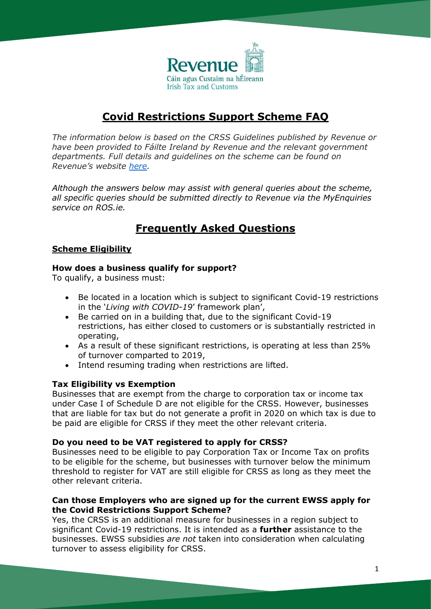

# **Covid Restrictions Support Scheme FAQ**

*The information below is based on the CRSS Guidelines published by Revenue or have been provided to Fáilte Ireland by Revenue and the relevant government departments. Full details and guidelines on the scheme can be found on Revenue's website [here.](https://www.revenue.ie/en/corporate/press-office/budget-information/2021/crss-guidelines.pdf)*

*Although the answers below may assist with general queries about the scheme, all specific queries should be submitted directly to Revenue via the MyEnquiries service on ROS.ie.*

# **Frequently Asked Questions**

# **Scheme Eligibility**

# **How does a business qualify for support?**

To qualify, a business must:

- Be located in a location which is subject to significant Covid-19 restrictions in the '*Living with COVID-19*' framework plan',
- Be carried on in a building that, due to the significant Covid-19 restrictions, has either closed to customers or is substantially restricted in operating,
- As a result of these significant restrictions, is operating at less than 25% of turnover comparted to 2019,
- Intend resuming trading when restrictions are lifted.

# **Tax Eligibility vs Exemption**

Businesses that are exempt from the charge to corporation tax or income tax under Case I of Schedule D are not eligible for the CRSS. However, businesses that are liable for tax but do not generate a profit in 2020 on which tax is due to be paid are eligible for CRSS if they meet the other relevant criteria.

# **Do you need to be VAT registered to apply for CRSS?**

Businesses need to be eligible to pay Corporation Tax or Income Tax on profits to be eligible for the scheme, but businesses with turnover below the minimum threshold to register for VAT are still eligible for CRSS as long as they meet the other relevant criteria.

# **Can those Employers who are signed up for the current EWSS apply for the Covid Restrictions Support Scheme?**

Yes, the CRSS is an additional measure for businesses in a region subject to significant Covid-19 restrictions. It is intended as a **further** assistance to the businesses. EWSS subsidies *are not* taken into consideration when calculating turnover to assess eligibility for CRSS.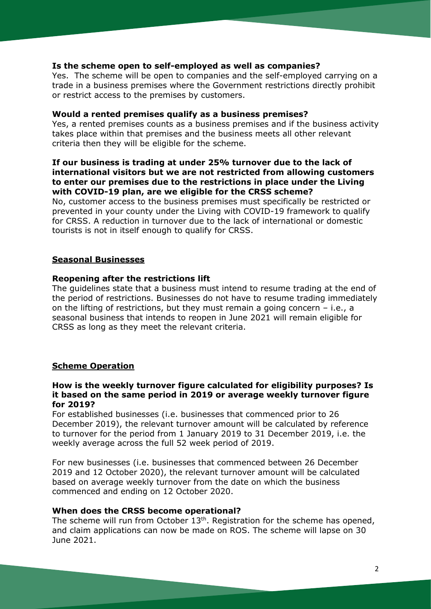### **Is the scheme open to self-employed as well as companies?**

Yes. The scheme will be open to companies and the self-employed carrying on a trade in a business premises where the Government restrictions directly prohibit or restrict access to the premises by customers.

#### **Would a rented premises qualify as a business premises?**

Yes, a rented premises counts as a business premises and if the business activity takes place within that premises and the business meets all other relevant criteria then they will be eligible for the scheme.

## **If our business is trading at under 25% turnover due to the lack of international visitors but we are not restricted from allowing customers to enter our premises due to the restrictions in place under the Living with COVID-19 plan, are we eligible for the CRSS scheme?**

No, customer access to the business premises must specifically be restricted or prevented in your county under the Living with COVID-19 framework to qualify for CRSS. A reduction in turnover due to the lack of international or domestic tourists is not in itself enough to qualify for CRSS.

#### **Seasonal Businesses**

#### **Reopening after the restrictions lift**

The guidelines state that a business must intend to resume trading at the end of the period of restrictions. Businesses do not have to resume trading immediately on the lifting of restrictions, but they must remain a going concern – i.e., a seasonal business that intends to reopen in June 2021 will remain eligible for CRSS as long as they meet the relevant criteria.

#### **Scheme Operation**

#### **How is the weekly turnover figure calculated for eligibility purposes? Is it based on the same period in 2019 or average weekly turnover figure for 2019?**

For established businesses (i.e. businesses that commenced prior to 26 December 2019), the relevant turnover amount will be calculated by reference to turnover for the period from 1 January 2019 to 31 December 2019, i.e. the weekly average across the full 52 week period of 2019.

For new businesses (i.e. businesses that commenced between 26 December 2019 and 12 October 2020), the relevant turnover amount will be calculated based on average weekly turnover from the date on which the business commenced and ending on 12 October 2020.

### **When does the CRSS become operational?**

The scheme will run from October  $13<sup>th</sup>$ . Registration for the scheme has opened, and claim applications can now be made on ROS. The scheme will lapse on 30 June 2021.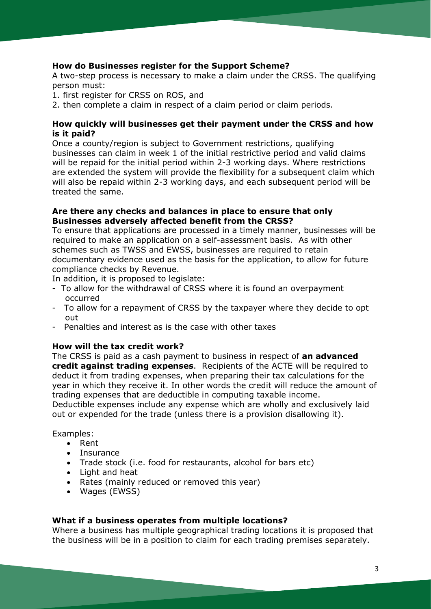# **How do Businesses register for the Support Scheme?**

A two-step process is necessary to make a claim under the CRSS. The qualifying person must:

- 1. first register for CRSS on ROS, and
- 2. then complete a claim in respect of a claim period or claim periods.

## **How quickly will businesses get their payment under the CRSS and how is it paid?**

Once a county/region is subject to Government restrictions, qualifying businesses can claim in week 1 of the initial restrictive period and valid claims will be repaid for the initial period within 2-3 working days. Where restrictions are extended the system will provide the flexibility for a subsequent claim which will also be repaid within 2-3 working days, and each subsequent period will be treated the same.

# **Are there any checks and balances in place to ensure that only Businesses adversely affected benefit from the CRSS?**

To ensure that applications are processed in a timely manner, businesses will be required to make an application on a self-assessment basis. As with other schemes such as TWSS and EWSS, businesses are required to retain documentary evidence used as the basis for the application, to allow for future compliance checks by Revenue.

In addition, it is proposed to legislate:

- To allow for the withdrawal of CRSS where it is found an overpayment occurred
- To allow for a repayment of CRSS by the taxpayer where they decide to opt out
- Penalties and interest as is the case with other taxes

# **How will the tax credit work?**

The CRSS is paid as a cash payment to business in respect of **an advanced credit against trading expenses**. Recipients of the ACTE will be required to deduct it from trading expenses, when preparing their tax calculations for the year in which they receive it. In other words the credit will reduce the amount of trading expenses that are deductible in computing taxable income.

Deductible expenses include any expense which are wholly and exclusively laid out or expended for the trade (unless there is a provision disallowing it).

Examples:

- Rent
- Insurance
- Trade stock (i.e. food for restaurants, alcohol for bars etc)
- Light and heat
- Rates (mainly reduced or removed this year)
- Wages (EWSS)

## **What if a business operates from multiple locations?**

Where a business has multiple geographical trading locations it is proposed that the business will be in a position to claim for each trading premises separately.